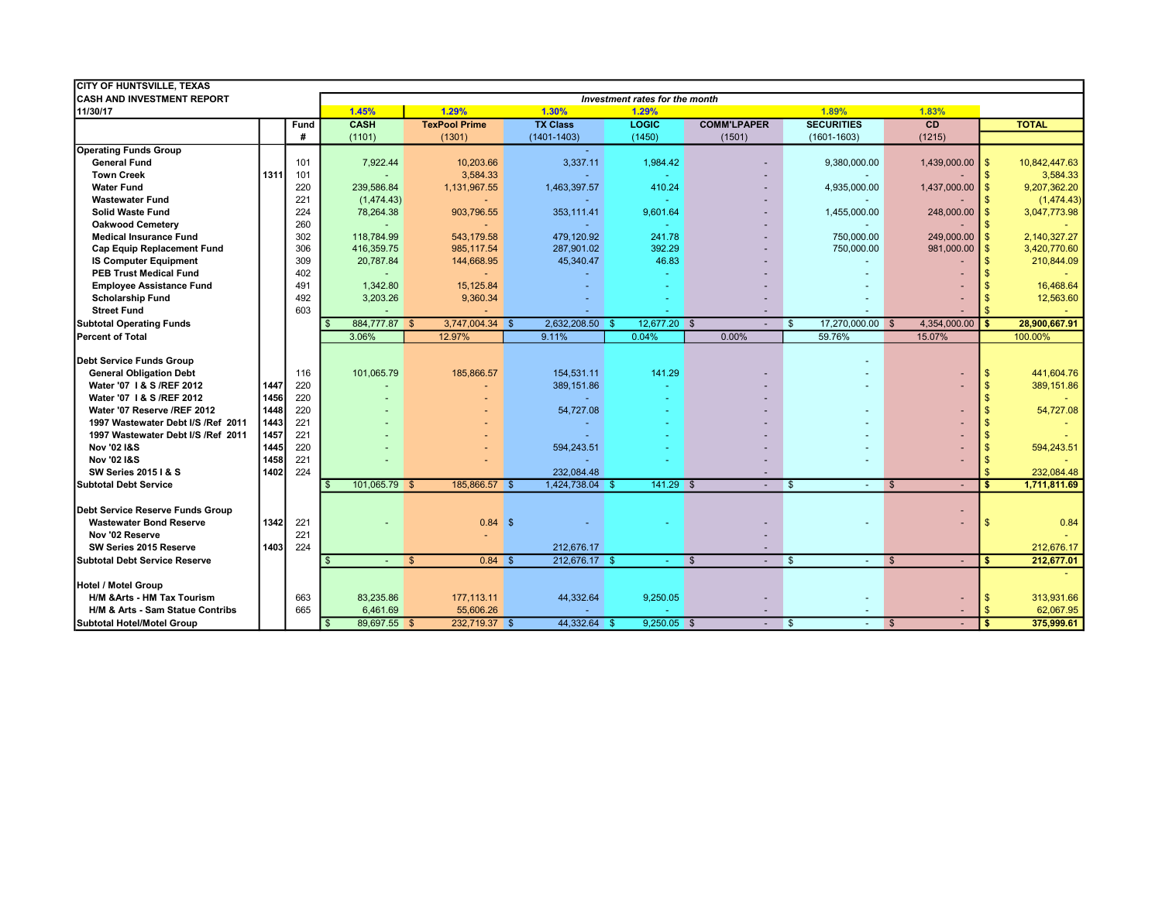| <b>CITY OF HUNTSVILLE, TEXAS</b>     |                                |      |                                |              |                      |      |                 |  |               |            |                    |              |                   |              |                   |               |               |
|--------------------------------------|--------------------------------|------|--------------------------------|--------------|----------------------|------|-----------------|--|---------------|------------|--------------------|--------------|-------------------|--------------|-------------------|---------------|---------------|
| <b>CASH AND INVESTMENT REPORT</b>    | Investment rates for the month |      |                                |              |                      |      |                 |  |               |            |                    |              |                   |              |                   |               |               |
| 11/30/17                             |                                |      | 1.45%                          |              | 1.29%                |      | 1.30%           |  | 1.29%         |            |                    |              | 1.89%             |              | 1.83%             |               |               |
|                                      |                                | Fund | <b>CASH</b>                    |              | <b>TexPool Prime</b> |      | <b>TX Class</b> |  | LOGIC         |            | <b>COMM'LPAPER</b> |              | <b>SECURITIES</b> |              | CD                |               | <b>TOTAL</b>  |
|                                      |                                | #    | (1101)                         |              | (1301)               |      | $(1401 - 1403)$ |  | (1450)        |            | (1501)             |              | $(1601 - 1603)$   |              | (1215)            |               |               |
| <b>Operating Funds Group</b>         |                                |      |                                |              |                      |      |                 |  |               |            |                    |              |                   |              |                   |               |               |
| <b>General Fund</b>                  |                                | 101  | 7,922.44                       |              | 10,203.66            |      | 3,337.11        |  | 1.984.42      |            |                    |              | 9,380,000.00      |              | 1,439,000.00      | $\mathbf{\$}$ | 10,842,447.63 |
| <b>Town Creek</b>                    | 1311                           | 101  |                                |              | 3,584.33             |      |                 |  |               |            |                    |              |                   |              |                   | \$            | 3,584.33      |
| <b>Water Fund</b>                    |                                | 220  | 239,586.84                     |              | 1,131,967.55         |      | 1,463,397.57    |  | 410.24        |            |                    |              | 4,935,000.00      |              | $1,437,000.00$ \$ |               | 9,207,362.20  |
| <b>Wastewater Fund</b>               |                                | 221  | (1,474.43)                     |              |                      |      | ÷.              |  | $\sim$        |            |                    |              |                   |              |                   | \$            | (1,474.43)    |
| <b>Solid Waste Fund</b>              |                                | 224  | 78,264.38                      |              | 903,796.55           |      | 353,111.41      |  | 9,601.64      |            |                    |              | 1,455,000.00      |              | $248,000.00$ \$   |               | 3,047,773.98  |
| <b>Oakwood Cemetery</b>              |                                | 260  |                                |              |                      |      |                 |  |               |            |                    |              |                   |              |                   | <sup>\$</sup> |               |
| <b>Medical Insurance Fund</b>        |                                | 302  | 118,784.99                     |              | 543,179.58           |      | 479,120.92      |  | 241.78        |            |                    |              | 750,000.00        |              | 249,000.00        | $\mathbf{s}$  | 2,140,327.27  |
| <b>Cap Equip Replacement Fund</b>    |                                | 306  | 416.359.75                     |              | 985,117.54           |      | 287.901.02      |  | 392.29        |            |                    |              | 750.000.00        |              | 981,000.00        | $\mathbf{s}$  | 3,420,770.60  |
| <b>IS Computer Equipment</b>         |                                | 309  | 20,787.84                      |              | 144,668.95           |      | 45,340.47       |  | 46.83         |            |                    |              |                   |              |                   | <sup>\$</sup> | 210,844.09    |
| <b>PEB Trust Medical Fund</b>        |                                | 402  |                                |              |                      |      |                 |  |               |            |                    |              |                   |              |                   |               |               |
| <b>Employee Assistance Fund</b>      |                                | 491  | 1,342.80                       |              | 15,125.84            |      |                 |  |               |            |                    |              |                   |              |                   |               | 16,468.64     |
| <b>Scholarship Fund</b>              |                                | 492  | 3,203.26                       |              | 9,360.34             |      |                 |  |               |            |                    |              |                   |              |                   | \$.           | 12,563.60     |
| <b>Street Fund</b>                   |                                | 603  |                                |              |                      |      |                 |  |               |            |                    |              |                   |              |                   |               |               |
| <b>Subtotal Operating Funds</b>      |                                |      | 884,777.87<br>$\mathbf{s}$     | $\sqrt{s}$   | 3,747,004.34 \$      |      | 2,632,208.50    |  | 12,677.20 \$  |            |                    | $\mathbb{S}$ | 17,270,000.00 \$  |              | 4,354,000.00      | \$            | 28,900,667.91 |
| <b>IPercent of Total</b>             |                                |      | 3.06%                          |              | 12.97%               |      | 9.11%           |  | 0.04%         |            | 0.00%              |              | 59.76%            |              | 15.07%            |               | 100.00%       |
|                                      |                                |      |                                |              |                      |      |                 |  |               |            |                    |              |                   |              |                   |               |               |
| Debt Service Funds Group             |                                |      |                                |              |                      |      |                 |  |               |            |                    |              |                   |              |                   |               |               |
| <b>General Obligation Debt</b>       |                                | 116  | 101,065.79                     |              | 185,866.57           |      | 154,531.11      |  | 141.29        |            |                    |              |                   |              |                   | <b>S</b>      | 441,604.76    |
| Water '07   & S / REF 2012           | 1447                           | 220  |                                |              |                      |      | 389,151.86      |  | $\sim$        |            |                    |              |                   |              |                   | \$            | 389,151.86    |
| Water '07   & S / REF 2012           | 1456                           | 220  |                                |              |                      |      |                 |  | ٠             |            |                    |              |                   |              |                   | \$            |               |
| Water '07 Reserve /REF 2012          | 1448                           | 220  |                                |              |                      |      | 54,727.08       |  |               |            |                    |              |                   |              |                   | \$            | 54,727.08     |
| 1997 Wastewater Debt I/S /Ref 2011   | 1443                           | 221  |                                |              |                      |      |                 |  |               |            |                    |              |                   |              |                   |               |               |
| 1997 Wastewater Debt I/S /Ref 2011   | 1457                           | 221  |                                |              |                      |      |                 |  |               |            |                    |              |                   |              |                   | \$            |               |
| <b>Nov '02 I&amp;S</b>               | 1445                           | 220  |                                |              |                      |      | 594,243.51      |  |               |            |                    |              |                   |              |                   |               | 594,243.51    |
| <b>Nov '02 I&amp;S</b>               | 1458                           | 221  |                                |              |                      |      |                 |  |               |            |                    |              |                   |              |                   |               |               |
| <b>SW Series 2015   &amp; S</b>      | 1402                           | 224  |                                |              |                      |      | 232,084.48      |  |               |            |                    |              |                   |              |                   | \$            | 232,084.48    |
| lSubtotal Debt Service               |                                |      | 101,065.79                     | <b>\$</b>    | 185,866.57           |      | 1,424,738.04 \$ |  | $141.29$ \$   |            | $\sim$             | $\mathbf{s}$ |                   | $\mathbf{s}$ |                   |               | 1,711,811.69  |
|                                      |                                |      |                                |              |                      |      |                 |  |               |            |                    |              |                   |              |                   |               |               |
| Debt Service Reserve Funds Group     |                                |      |                                |              |                      |      |                 |  |               |            |                    |              |                   |              |                   |               |               |
| <b>Wastewater Bond Reserve</b>       | 1342                           | 221  |                                |              | 0.84                 | - \$ |                 |  |               |            |                    |              |                   |              |                   | \$            | 0.84          |
| Nov '02 Reserve                      |                                | 221  |                                |              |                      |      |                 |  |               |            |                    |              |                   |              |                   |               |               |
| SW Series 2015 Reserve               | 1403                           | 224  |                                |              |                      |      | 212,676.17      |  |               |            |                    |              |                   |              |                   |               | 212,676.17    |
| <b>Subtotal Debt Service Reserve</b> |                                |      | \$                             | $\mathbf{s}$ | $0.84$ \$            |      | 212,676.17 \$   |  |               | $\sqrt{S}$ |                    | $\mathbf{s}$ | $\sim$            | $\mathbf{s}$ |                   | s.            | 212,677.01    |
|                                      |                                |      |                                |              |                      |      |                 |  |               |            |                    |              |                   |              |                   |               |               |
| Hotel / Motel Group                  |                                |      |                                |              |                      |      |                 |  |               |            |                    |              |                   |              |                   |               |               |
| H/M & Arts - HM Tax Tourism          |                                | 663  | 83,235.86                      |              | 177, 113. 11         |      | 44,332.64       |  | 9,250.05      |            |                    |              |                   |              |                   | -\$           | 313,931.66    |
| H/M & Arts - Sam Statue Contribs     |                                | 665  | 6,461.69                       |              | 55,606.26            |      |                 |  |               |            |                    |              |                   |              |                   |               | 62,067.95     |
| Subtotal Hotel/Motel Group           |                                |      | 89,697.55 \$<br>$\mathfrak{S}$ |              | 232,719.37 \$        |      | 44,332.64 \$    |  | $9.250.05$ \$ |            | $\sim$             | $\mathbf{s}$ |                   | $\sqrt{3}$   |                   | \$            | 375,999.61    |